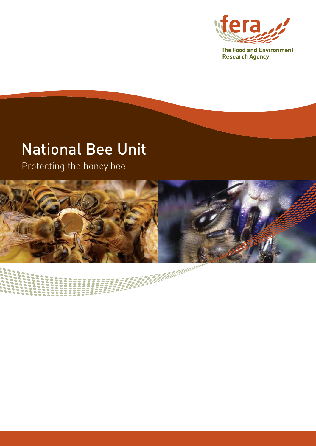

**Research Agency** 

### National Bee Unit

Protecting the honey bee



**SANAN**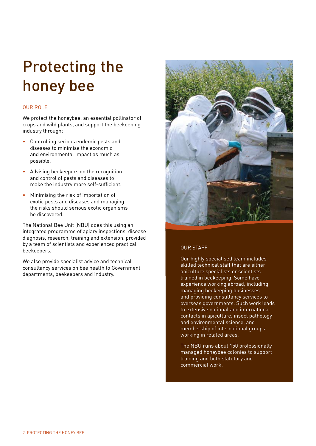## Protecting the honey bee

### OUR ROLE

We protect the honeybee; an essential pollinator of crops and wild plants, and support the beekeeping industry through:

- Controlling serious endemic pests and diseases to minimise the economic and environmental impact as much as possible.
- Advising beekeepers on the recognition and control of pests and diseases to make the industry more self-sufficient.
- Minimising the risk of importation of exotic pests and diseases and managing the risks should serious exotic organisms be discovered.

The National Bee Unit (NBU) does this using an integrated programme of apiary inspections, disease diagnosis, research, training and extension, provided by a team of scientists and experienced practical beekeepers.

We also provide specialist advice and technical consultancy services on bee health to Government departments, beekeepers and industry.



### OUR STAFF

Our highly specialised team includes skilled technical staff that are either apiculture specialists or scientists trained in beekeeping. Some have experience working abroad, including managing beekeeping businesses and providing consultancy services to overseas governments. Such work leads to extensive national and international contacts in apiculture, insect pathology and environmental science, and membership of international groups working in related areas.

The NBU runs about 150 professionally managed honeybee colonies to support training and both statutory and commercial work.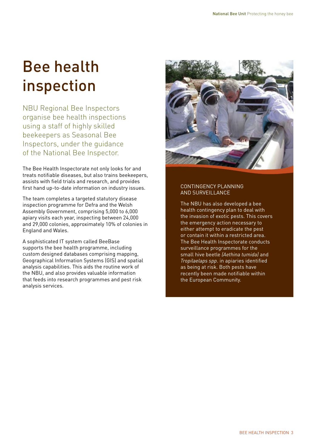# Bee health inspection

NBU Regional Bee Inspectors organise bee health inspections using a staff of highly skilled beekeepers as Seasonal Bee Inspectors, under the guidance of the National Bee Inspector.

The Bee Health Inspectorate not only looks for and treats notifiable diseases, but also trains beekeepers, assists with field trials and research, and provides first hand up-to-date information on industry issues.

The team completes a targeted statutory disease inspection programme for Defra and the Welsh Assembly Government, comprising 5,000 to 6,000 apiary visits each year, inspecting between 24,000 and 29,000 colonies, approximately 10% of colonies in England and Wales.

A sophisticated IT system called BeeBase supports the bee health programme, including custom designed databases comprising mapping, Geographical Information Systems (GIS) and spatial analysis capabilities. This aids the routine work of the NBU, and also provides valuable information that feeds into research programmes and pest risk analysis services.



### CONTINGENCY PLANNING AND SURVEILLANCE

The NBU has also developed a bee health contingency plan to deal with the invasion of exotic pests. This covers the emergency action necessary to either attempt to eradicate the pest or contain it within a restricted area. The Bee Health Inspectorate conducts surveillance programmes for the small hive beetle *(Aethina tumida)* and *Tropilaelaps spp*. in apiaries identified as being at risk. Both pests have recently been made notifiable within the European Community.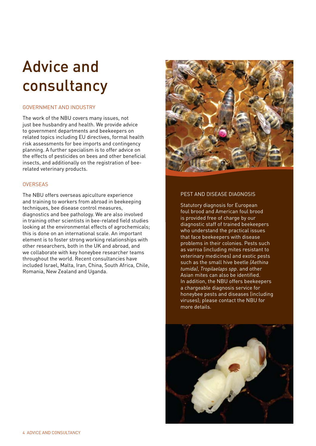## Advice and consultancy

### GOVERNMENT AND INDUSTRY

The work of the NBU covers many issues, not just bee husbandry and health. We provide advice to government departments and beekeepers on related topics including EU directives, formal health risk assessments for bee imports and contingency planning. A further specialism is to offer advice on the effects of pesticides on bees and other beneficial insects, and additionally on the registration of beerelated veterinary products.

### **OVERSEAS**

The NBU offers overseas apiculture experience and training to workers from abroad in beekeeping techniques, bee disease control measures, diagnostics and bee pathology. We are also involved in training other scientists in bee-related field studies looking at the environmental effects of agrochemicals; this is done on an international scale. An important element is to foster strong working relationships with other researchers, both in the UK and abroad, and we collaborate with key honeybee researcher teams throughout the world. Recent consultancies have included Israel, Malta, Iran, China, South Africa, Chile, Romania, New Zealand and Uganda.



### PEST AND DISEASE DIAGNOSIS

Statutory diagnosis for European foul brood and American foul brood is provided free of charge by our diagnostic staff of trained beekeepers who understand the practical issues that face beekeepers with disease problems in their colonies. Pests such as varroa (including mites resistant to veterinary medicines) and exotic pests such as the small hive beetle *(Aethina tumida)*, *Tropilaelaps spp*. and other Asian mites can also be identified. In addition, the NBU offers beekeepers a chargeable diagnosis service for honeybee pests and diseases (including viruses); please contact the NBU for more details.

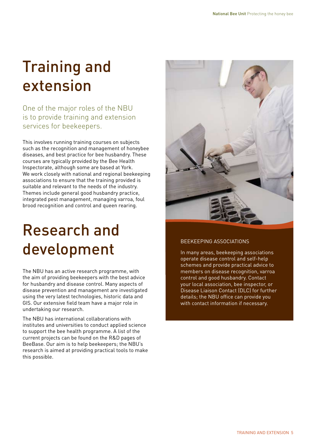## Training and extension

One of the major roles of the NBU is to provide training and extension services for beekeepers.

This involves running training courses on subjects such as the recognition and management of honeybee diseases, and best practice for bee husbandry. These courses are typically provided by the Bee Health Inspectorate, although some are based at York. We work closely with national and regional beekeeping associations to ensure that the training provided is suitable and relevant to the needs of the industry. Themes include general good husbandry practice, integrated pest management, managing varroa, foul brood recognition and control and queen rearing.

## Research and development

The NBU has an active research programme, with the aim of providing beekeepers with the best advice for husbandry and disease control. Many aspects of disease prevention and management are investigated using the very latest technologies, historic data and GIS. Our extensive field team have a major role in undertaking our research.

The NBU has international collaborations with institutes and universities to conduct applied science to support the bee health programme. A list of the current projects can be found on the R&D pages of BeeBase. Our aim is to help beekeepers; the NBU's research is aimed at providing practical tools to make this possible.



### BEEKEEPING ASSOCIATIONS

In many areas, beekeeping associations operate disease control and self-help schemes and provide practical advice to members on disease recognition, varroa control and good husbandry. Contact your local association, bee inspector, or Disease Liaison Contact (DLC) for further details; the NBU office can provide you with contact information if necessary.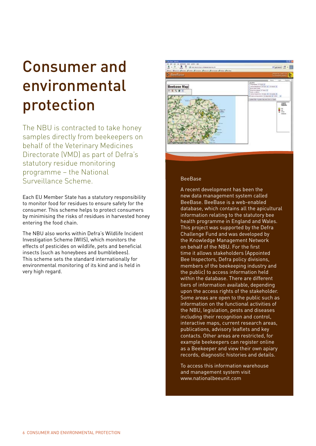## Consumer and environmental protection

The NBU is contracted to take honey samples directly from beekeepers on behalf of the Veterinary Medicines Directorate (VMD) as part of Defra's statutory residue monitoring programme – the National Surveillance Scheme.

Each EU Member State has a statutory responsibility to monitor food for residues to ensure safety for the consumer. This scheme helps to protect consumers by minimising the risks of residues in harvested honey entering the food chain.

The NBU also works within Defra's Wildlife Incident Investigation Scheme (WIIS), which monitors the effects of pesticides on wildlife, pets and beneficial insects (such as honeybees and bumblebees). This scheme sets the standard internationally for environmental monitoring of its kind and is held in very high regard.



### BeeBase

A recent development has been the new data management system called BeeBase. BeeBase is a web-enabled database, which contains all the apicultural information relating to the statutory bee health programme in England and Wales. This project was supported by the Defra Challenge Fund and was developed by the Knowledge Management Network on behalf of the NBU. For the first time it allows stakeholders (Appointed Bee Inspectors, Defra policy divisions, members of the beekeeping industry and the public) to access information held within the database. There are different tiers of information available, depending upon the access rights of the stakeholder. Some areas are open to the public such as information on the functional activities of the NBU, legislation, pests and diseases including their recognition and control, interactive maps, current research areas, publications, advisory leaflets and key contacts. Other areas are restricted, for example beekeepers can register online as a Beekeeper and view their own apiary records, diagnostic histories and details.

To access this information warehouse and management system visit www.nationalbeeunit.com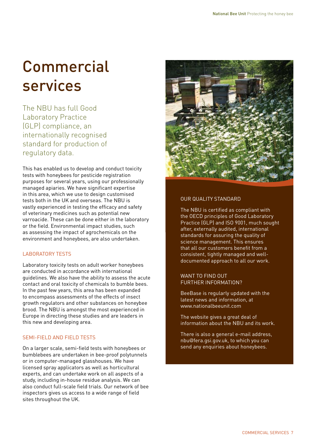## **Commercial** services

The NBU has full Good Laboratory Practice (GLP) compliance, an internationally recognised standard for production of regulatory data.

This has enabled us to develop and conduct toxicity tests with honeybees for pesticide registration purposes for several years, using our professionally managed apiaries. We have significant expertise in this area, which we use to design customised tests both in the UK and overseas. The NBU is vastly experienced in testing the efficacy and safety of veterinary medicines such as potential new varroacide. These can be done either in the laboratory or the field. Environmental impact studies, such as assessing the impact of agrochemicals on the environment and honeybees, are also undertaken.

### LABORATORY TESTS

Laboratory toxicity tests on adult worker honeybees are conducted in accordance with international guidelines. We also have the ability to assess the acute contact and oral toxicity of chemicals to bumble bees. In the past few years, this area has been expanded to encompass assessments of the effects of insect growth regulators and other substances on honeybee brood. The NBU is amongst the most experienced in Europe in directing these studies and are leaders in this new and developing area.

### SEMI-FIELD AND FIELD TESTS

On a larger scale, semi-field tests with honeybees or bumblebees are undertaken in bee-proof polytunnels or in computer-managed glasshouses. We have licensed spray applicators as well as horticultural experts, and can undertake work on all aspects of a study, including in-house residue analysis. We can also conduct full-scale field trials. Our network of bee inspectors gives us access to a wide range of field sites throughout the UK.



### OUR QUALITY STANDARD

The NBU is certified as compliant with the OECD principles of Good Laboratory Practice (GLP) and ISO 9001, much sought after, externally audited, international standards for assuring the quality of science management. This ensures that all our customers benefit from a consistent, tightly managed and welldocumented approach to all our work.

### WANT TO FIND OUT FURTHER INFORMATION?

BeeBase is regularly updated with the latest news and information, at www.nationalbeeunit.com

The website gives a great deal of information about the NBU and its work.

There is also a general e-mail address, nbu@fera.gsi.gov.uk, to which you can send any enquiries about honeybees.